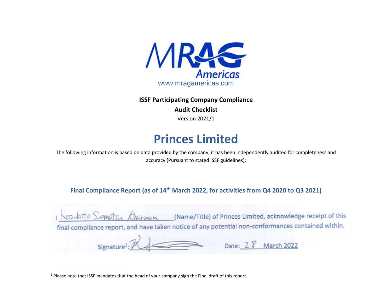

**ISSF Participating Company Compliance Audit Checklist** Version 2021/1

## **Princes Limited**

The following information is based on data provided by the company; it has been independently audited for completeness and accuracy (Pursuant to stated ISSF guidelines):

**Final Compliance Report (as of 14th March 2022, for activities from Q4 2020 to Q3 2021)**

| 1 Kozulito Sugnation Chairman                                                                      | (Name/Title) of Princes Limited, acknowledge receipt of this |
|----------------------------------------------------------------------------------------------------|--------------------------------------------------------------|
| final compliance report, and have taken notice of any potential non-conformances contained within. |                                                              |
| $Signature1: P \rightarrow$                                                                        | Date: 2 8 March 2022                                         |

<sup>&</sup>lt;sup>1</sup> Please note that ISSF mandates that the head of your company sign the Final draft of this report.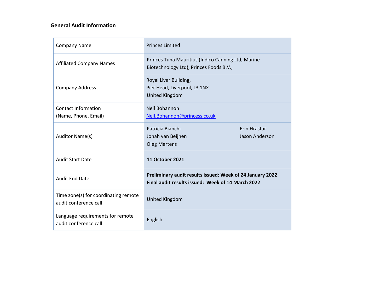## **General Audit Information**

| <b>Company Name</b>                                           | <b>Princes Limited</b>                                                                                         |                                |  |  |  |
|---------------------------------------------------------------|----------------------------------------------------------------------------------------------------------------|--------------------------------|--|--|--|
| <b>Affiliated Company Names</b>                               | Princes Tuna Mauritius (Indico Canning Ltd, Marine<br>Biotechnology Ltd), Princes Foods B.V.,                  |                                |  |  |  |
| <b>Company Address</b>                                        | Royal Liver Building,<br>Pier Head, Liverpool, L3 1NX<br><b>United Kingdom</b>                                 |                                |  |  |  |
| <b>Contact Information</b><br>(Name, Phone, Email)            | Neil Bohannon<br>Neil.Bohannon@princess.co.uk                                                                  |                                |  |  |  |
| Auditor Name(s)                                               | Patricia Bianchi<br>Jonah van Beijnen<br><b>Oleg Martens</b>                                                   | Erin Hrastar<br>Jason Anderson |  |  |  |
| <b>Audit Start Date</b>                                       | <b>11 October 2021</b>                                                                                         |                                |  |  |  |
| <b>Audit End Date</b>                                         | Preliminary audit results issued: Week of 24 January 2022<br>Final audit results issued: Week of 14 March 2022 |                                |  |  |  |
| Time zone(s) for coordinating remote<br>audit conference call | <b>United Kingdom</b>                                                                                          |                                |  |  |  |
| Language requirements for remote<br>audit conference call     | English                                                                                                        |                                |  |  |  |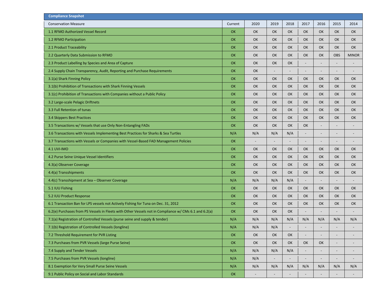| <b>Compliance Snapshot</b>                                                                            |           |      |                          |      |                |                          |                          |                          |
|-------------------------------------------------------------------------------------------------------|-----------|------|--------------------------|------|----------------|--------------------------|--------------------------|--------------------------|
| <b>Conservation Measure</b>                                                                           | Current   | 2020 | 2019                     | 2018 | 2017           | 2016                     | 2015                     | 2014                     |
| 1.1 RFMO Authorized Vessel Record                                                                     | OK        | OK   | OK                       | OK   | <b>OK</b>      | <b>OK</b>                | <b>OK</b>                | OK                       |
| 1.2 RFMO Participation                                                                                | OK        | OK   | OK                       | OK   | OK             | OK                       | OK                       | OK                       |
| 2.1 Product Traceability                                                                              | OK        | OK   | OK                       | OK   | OK             | <b>OK</b>                | <b>OK</b>                | OK                       |
| 2.2 Quarterly Data Submission to RFMO                                                                 | OK        | OK   | OK                       | OK   | OK             | <b>OK</b>                | <b>OBS</b>               | <b>MINOR</b>             |
| 2.3 Product Labelling by Species and Area of Capture                                                  | OK        | OK   | OK                       | OK   |                |                          |                          |                          |
| 2.4 Supply Chain Transparency, Audit, Reporting and Purchase Requirements                             | OK        | OK   | $\overline{\phantom{a}}$ |      | -              |                          |                          |                          |
| 3.1(a) Shark Finning Policy                                                                           | OK        | OK   | OK                       | OK   | OK             | <b>OK</b>                | <b>OK</b>                | OK                       |
| 3.1(b) Prohibition of Transactions with Shark Finning Vessels                                         | OK        | OK   | OK                       | OK   | OK             | OK                       | OK                       | OK                       |
| 3.1(c) Prohibition of Transactions with Companies without a Public Policy                             | OK        | OK   | OK                       | OK   | OK             | OK                       | OK                       | OK                       |
| 3.2 Large-scale Pelagic Driftnets                                                                     | OK        | OK   | <b>OK</b>                | OK   | OK             | <b>OK</b>                | <b>OK</b>                | OK                       |
| 3.3 Full Retention of tunas                                                                           | OK        | OK   | OK                       | OK   | OK             | OK                       | OK                       | OK                       |
| 3.4 Skippers Best Practices                                                                           | OK        | OK   | OK                       | OK   | OK             | <b>OK</b>                | <b>OK</b>                | OK                       |
| 3.5 Transactions w/ Vessels that use Only Non-Entangling FADs                                         | OK        | OK   | OK                       | OK   | OK             |                          |                          |                          |
| 3.6 Transactions with Vessels Implementing Best Practices for Sharks & Sea Turtles                    | N/A       | N/A  | N/A                      | N/A  | -              | $\overline{\phantom{a}}$ | $\overline{\phantom{a}}$ | $\overline{\phantom{a}}$ |
| 3.7 Transactions with Vessels or Companies with Vessel-Based FAD Management Policies                  | OK        |      |                          |      |                |                          |                          |                          |
| <b>4.1 UVI-IMO</b>                                                                                    | OK        | OK   | OK                       | OK   | OK             | <b>OK</b>                | OK                       | OK                       |
| 4.2 Purse Seine Unique Vessel Identifiers                                                             | OK        | OK   | OK                       | OK   | OK             | OK                       | OK                       | OK                       |
| 4.3(a) Observer Coverage                                                                              | OK        | OK   | OK                       | OK   | OK             | <b>OK</b>                | OK                       | OK                       |
| 4.4(a) Transshipments                                                                                 | OK        | OK   | OK                       | OK   | OK             | OK                       | OK                       | OK                       |
| 4.4(c) Transshipment at Sea - Observer Coverage                                                       | N/A       | N/A  | N/A                      | N/A  | $\overline{a}$ |                          |                          |                          |
| 5.1 IUU Fishing                                                                                       | OK        | OK   | <b>OK</b>                | OK   | OK             | <b>OK</b>                | <b>OK</b>                | OK                       |
| 5.2 IUU Product Response                                                                              | OK        | OK   | OK                       | OK   | OK             | <b>OK</b>                | OK                       | OK                       |
| 6.1 Transaction Ban for LPS vessels not Actively Fishing for Tuna on Dec. 31, 2012                    | OK        | OK   | OK                       | OK   | OK             | OK                       | OK                       | OK                       |
| 6.2(e) Purchases from PS Vessels in Fleets with Other Vessels not in Compliance w/ CMs 6.1 and 6.2(a) | OK        | OK   | OK                       | OK   | $\overline{a}$ |                          |                          |                          |
| 7.1(a) Registration of Controlled Vessels (purse seine and supply & tender)                           | N/A       | N/A  | N/A                      | N/A  | N/A            | N/A                      | N/A                      | N/A                      |
| 7.1(b) Registration of Controlled Vessels (longline)                                                  | N/A       | N/A  | N/A                      |      |                |                          |                          |                          |
| 7.2 Threshold Requirement for PVR Listing                                                             | OK        | OK   | OK                       | OK   |                |                          |                          |                          |
| 7.3 Purchases from PVR Vessels (large Purse Seine)                                                    | <b>OK</b> | OK   | OK                       | OK   | OK             | OK                       |                          |                          |
| 7.4 Supply and Tender Vessels                                                                         | N/A       | N/A  | N/A                      | N/A  |                |                          |                          |                          |
| 7.5 Purchases from PVR Vessels (longline)                                                             | N/A       | N/A  | $\overline{\phantom{a}}$ |      |                |                          |                          |                          |
| 8.1 Exemption for Very Small Purse Seine Vessels                                                      | N/A       | N/A  | N/A                      | N/A  | N/A            | N/A                      | N/A                      | N/A                      |
| 9.1 Public Policy on Social and Labor Standards                                                       | OK        |      | $\overline{\phantom{a}}$ |      | -              |                          |                          | $\overline{\phantom{a}}$ |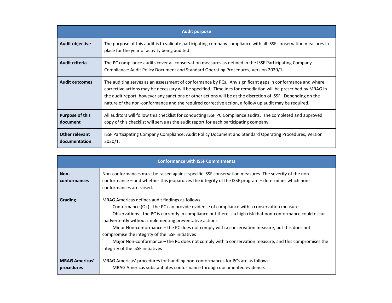|                                    | <b>Audit purpose</b>                                                                                                                                                                                                                                                                                                                                                                                                                                |
|------------------------------------|-----------------------------------------------------------------------------------------------------------------------------------------------------------------------------------------------------------------------------------------------------------------------------------------------------------------------------------------------------------------------------------------------------------------------------------------------------|
| <b>Audit objective</b>             | The purpose of this audit is to validate participating company compliance with all ISSF conservation measures in<br>place for the year of activity being audited.                                                                                                                                                                                                                                                                                   |
| Audit criteria                     | The PC compliance audits cover all conservation measures as defined in the ISSF Participating Company<br>Compliance: Audit Policy Document and Standard Operating Procedures, Version 2020/1.                                                                                                                                                                                                                                                       |
| <b>Audit outcomes</b>              | The auditing serves as an assessment of conformance by PCs. Any significant gaps in conformance and where<br>corrective actions may be necessary will be specified. Timelines for remediation will be prescribed by MRAG in<br>the audit report, however any sanctions or other actions will be at the discretion of ISSF. Depending on the<br>nature of the non-conformance and the required corrective action, a follow up audit may be required. |
| <b>Purpose of this</b><br>document | All auditors will follow this checklist for conducting ISSF PC Compliance audits. The completed and approved<br>copy of this checklist will serve as the audit report for each participating company.                                                                                                                                                                                                                                               |
| Other relevant<br>documentation    | ISSF Participating Company Compliance: Audit Policy Document and Standard Operating Procedures, Version<br>2020/1.                                                                                                                                                                                                                                                                                                                                  |

|                                     | <b>Conformance with ISSF Commitments</b>                                                                                                                                                                                                                                                                                                                                                                                                                                                                                                                                                                                                                            |  |  |  |  |  |  |  |
|-------------------------------------|---------------------------------------------------------------------------------------------------------------------------------------------------------------------------------------------------------------------------------------------------------------------------------------------------------------------------------------------------------------------------------------------------------------------------------------------------------------------------------------------------------------------------------------------------------------------------------------------------------------------------------------------------------------------|--|--|--|--|--|--|--|
| Non-<br>conformances                | Non-conformances must be raised against specific ISSF conservation measures. The severity of the non-<br>conformance – and whether this jeopardizes the integrity of the ISSF program – determines which non-<br>conformances are raised.                                                                                                                                                                                                                                                                                                                                                                                                                           |  |  |  |  |  |  |  |
| <b>Grading</b>                      | MRAG Americas defines audit findings as follows:<br>Conformance (Ok) - the PC can provide evidence of compliance with a conservation measure<br>٠<br>Observations - the PC is currently in compliance but there is a high risk that non-conformance could occur<br>$\bullet$<br>inadvertently without implementing preventative actions<br>Minor Non-conformance – the PC does not comply with a conservation measure, but this does not<br>$\bullet$<br>compromise the integrity of the ISSF initiatives<br>Major Non-conformance – the PC does not comply with a conservation measure, and this compromises the<br>$\bullet$<br>integrity of the ISSF initiatives |  |  |  |  |  |  |  |
| <b>MRAG Americas'</b><br>procedures | MRAG Americas' procedures for handling non-conformances for PCs are as follows:<br>MRAG Americas substantiates conformance through documented evidence.<br>$\bullet$                                                                                                                                                                                                                                                                                                                                                                                                                                                                                                |  |  |  |  |  |  |  |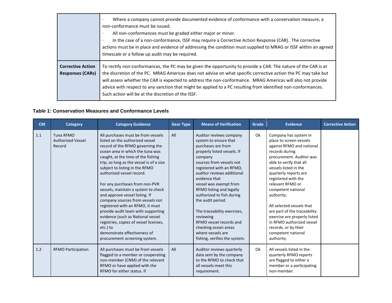|                                                     | Where a company cannot provide documented evidence of conformance with a conservation measure, a<br>$\bullet$<br>non-conformance must be issued.<br>All non-conformances must be graded either major or minor.<br>$\bullet$<br>In the case of a non-conformance, ISSF may require a Corrective Action Response (CAR). The corrective<br>$\bullet$<br>actions must be in place and evidence of addressing the condition must supplied to MRAG or ISSF within an agreed<br>timescale or a follow up audit may be required. |
|-----------------------------------------------------|--------------------------------------------------------------------------------------------------------------------------------------------------------------------------------------------------------------------------------------------------------------------------------------------------------------------------------------------------------------------------------------------------------------------------------------------------------------------------------------------------------------------------|
| <b>Corrective Action</b><br><b>Responses (CARs)</b> | To rectify non-conformances, the PC may be given the opportunity to provide a CAR. The nature of the CAR is at<br>the discretion of the PC. MRAG Americas does not advise on what specific corrective action the PC may take but<br>will assess whether the CAR is expected to address the non-conformance. MRAG Americas will also not provide<br>advice with respect to any sanction that might be applied to a PC resulting from identified non-conformances.<br>Such action will be at the discretion of the ISSF.   |

## **Table 1: Conservation Measures and Conformance Levels**

| <b>CM</b> | Category                                               | <b>Category Guidance</b>                                                                                                                                                                                                                                                                                                                                                                                                                                                                                                                                                                                                                                                            | <b>Gear Type</b> | <b>Means of Verification</b>                                                                                                                                                                                                                                                                                                                                                                                                                                                         | Grade | <b>Evidence</b>                                                                                                                                                                                                                                                                                                                                                                                                                                                               | <b>Corrective Action</b> |
|-----------|--------------------------------------------------------|-------------------------------------------------------------------------------------------------------------------------------------------------------------------------------------------------------------------------------------------------------------------------------------------------------------------------------------------------------------------------------------------------------------------------------------------------------------------------------------------------------------------------------------------------------------------------------------------------------------------------------------------------------------------------------------|------------------|--------------------------------------------------------------------------------------------------------------------------------------------------------------------------------------------------------------------------------------------------------------------------------------------------------------------------------------------------------------------------------------------------------------------------------------------------------------------------------------|-------|-------------------------------------------------------------------------------------------------------------------------------------------------------------------------------------------------------------------------------------------------------------------------------------------------------------------------------------------------------------------------------------------------------------------------------------------------------------------------------|--------------------------|
| 1.1       | <b>Tuna RFMO</b><br><b>Authorized Vessel</b><br>Record | All purchases must be from vessels<br>listed on the authorized vessel<br>record of the RFMO governing the<br>ocean area in which the tuna was<br>caught, at the time of the fishing<br>trip, so long as the vessel is of a size<br>subject to listing in the RFMO<br>authorized vessel record.<br>For any purchases from non-PVR<br>vessels, maintain a system to check<br>and approve vessel listing. If<br>company sources from vessels not<br>registered with an RFMO, it must<br>provide audit team with supporting<br>evidence (such as National vessel<br>registries, copies of vessel licenses,<br>etc.) to<br>demonstrate effectiveness of<br>procurement screening system. | All              | Auditor reviews company<br>system to ensure that<br>purchases are from<br>properly listed vessels. If<br>company<br>sources from vessels not<br>registered with an RFMO,<br>auditor reviews additional<br>evidence that<br>vessel was exempt from<br>RFMO listing and legally<br>authorized to fish during<br>the audit period.<br>The traceability exercises,<br>reviewing<br>RFMO yessel records and<br>checking ocean areas<br>where vessels are<br>fishing, verifies the system. | Ok    | Company has system in<br>place to screen vessels<br>against RFMO and national<br>records during<br>procurement. Auditor was<br>able to verify that all<br>vessels listed in the<br>quarterly reports are<br>registered with the<br>relevant RFMO or<br>competent national<br>authority.<br>All selected vessels that<br>are part of the traceability<br>exercise are properly listed<br>in RFMO authorized vessel<br>records, or by their<br>competent national<br>authority. |                          |
| 1.2       | <b>RFMO Participation</b>                              | All purchases must be from vessels<br>flagged to a member or cooperating<br>non-member (CNM) of the relevant<br>RFMO or have applied with the<br>RFMO for either status. If                                                                                                                                                                                                                                                                                                                                                                                                                                                                                                         | All              | Auditor reviews quarterly<br>data sent by the company<br>to the RFMO to check that<br>all vessels meet this<br>requirement.                                                                                                                                                                                                                                                                                                                                                          | Ok    | All vessels listed in the<br>quarterly RFMO reports<br>are flagged to either a<br>member or a participating<br>non-member.                                                                                                                                                                                                                                                                                                                                                    |                          |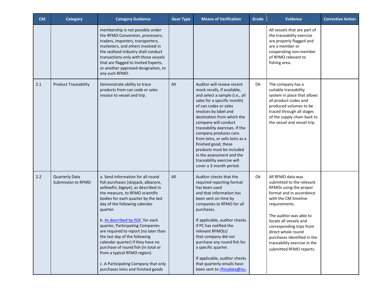| <b>CM</b> | Category                                    | <b>Category Guidance</b>                                                                                                                                                                                                                                                                                                                                                                                                                                                                                                                                                            | <b>Gear Type</b> | <b>Means of Verification</b>                                                                                                                                                                                                                                                                                                                                                                                                                                                | Grade | <b>Evidence</b>                                                                                                                                                                                                                                                                                                                                | <b>Corrective Action</b> |
|-----------|---------------------------------------------|-------------------------------------------------------------------------------------------------------------------------------------------------------------------------------------------------------------------------------------------------------------------------------------------------------------------------------------------------------------------------------------------------------------------------------------------------------------------------------------------------------------------------------------------------------------------------------------|------------------|-----------------------------------------------------------------------------------------------------------------------------------------------------------------------------------------------------------------------------------------------------------------------------------------------------------------------------------------------------------------------------------------------------------------------------------------------------------------------------|-------|------------------------------------------------------------------------------------------------------------------------------------------------------------------------------------------------------------------------------------------------------------------------------------------------------------------------------------------------|--------------------------|
|           |                                             | membership is not possible under<br>the RFMO Convention, processors,<br>traders, importers, transporters,<br>marketers, and others involved in<br>the seafood industry shall conduct<br>transactions only with those vessels<br>that are flagged to Invited Experts,<br>or another approved designation, to<br>any such RFMO.                                                                                                                                                                                                                                                       |                  |                                                                                                                                                                                                                                                                                                                                                                                                                                                                             |       | All vessels that are part of<br>the traceability exercise<br>are properly flagged and<br>are a member or<br>cooperating non-member<br>of RFMO relevant to<br>fishing area.                                                                                                                                                                     |                          |
| 2.1       | <b>Product Traceability</b>                 | Demonstrate ability to trace<br>products from can code or sales<br>invoice to vessel and trip.                                                                                                                                                                                                                                                                                                                                                                                                                                                                                      | All              | Auditor will review recent<br>mock recalls, if available,<br>and select a sample (i.e., all<br>sales for a specific month)<br>of can codes or sales<br>invoices by label and<br>destination from which the<br>company will conduct<br>traceability exercises. If the<br>company produces cans<br>from loins, or sells loins as a<br>finished good, these<br>products must be included<br>in the assessment and the<br>traceability exercise will<br>cover a 3-month period. | Ok    | The company has a<br>suitable traceability<br>system in place that allows<br>all product codes and<br>produced volumes to be<br>traced through all stages<br>of the supply chain back to<br>the vessel and vessel trip.                                                                                                                        |                          |
| 2.2       | <b>Quarterly Data</b><br>Submission to RFMO | a. Send information for all round<br>fish purchases (skipjack, albacore,<br>yellowfin, bigeye), as described in<br>the measure, to RFMO scientific<br>bodies for each quarter by the last<br>day of the following calendar<br>quarter.<br>b. As described by ISSF, for each<br>quarter, Participating Companies<br>are required to report (no later than<br>the last day of the following<br>calendar quarter) if they have no<br>purchase of round fish (in total or<br>from a typical RFMO region).<br>c. A Participating Company that only<br>purchases loins and finished goods | All              | Auditor checks that the<br>required reporting format<br>has been used<br>and that information has<br>been sent on time by<br>companies to RFMO for all<br>purchases.<br>If applicable, auditor checks<br>if PC has notified the<br>relevant RFMO(s)<br>that company did not<br>purchase any round fish for<br>a specific quarter.<br>If applicable, auditor checks<br>that quarterly emails have<br>been sent to rfmodata@iss-                                              | Ok    | All RFMO data was<br>submitted to the relevant<br>RFMOs using the proper<br>format and in accordance<br>with the CM timeline<br>requirements.<br>The auditor was able to<br>locate all vessels and<br>corresponding trips from<br>direct whole round<br>purchases identified in the<br>traceability exercise in the<br>submitted RFMO reports. |                          |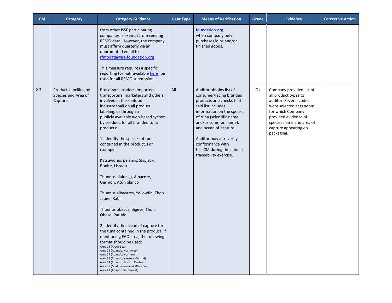| <b>CM</b> | <b>Category</b>                                        | <b>Category Guidance</b>                                                                                                                                                                                                                                                                                                                                                                                                                                                                                                                                                                                                                                                                                                                                                                                                                                                                                                                              | <b>Gear Type</b> | <b>Means of Verification</b>                                                                                                                                                                                                                                                                                          | Grade | <b>Evidence</b>                                                                                                                                                                                                       | <b>Corrective Action</b> |
|-----------|--------------------------------------------------------|-------------------------------------------------------------------------------------------------------------------------------------------------------------------------------------------------------------------------------------------------------------------------------------------------------------------------------------------------------------------------------------------------------------------------------------------------------------------------------------------------------------------------------------------------------------------------------------------------------------------------------------------------------------------------------------------------------------------------------------------------------------------------------------------------------------------------------------------------------------------------------------------------------------------------------------------------------|------------------|-----------------------------------------------------------------------------------------------------------------------------------------------------------------------------------------------------------------------------------------------------------------------------------------------------------------------|-------|-----------------------------------------------------------------------------------------------------------------------------------------------------------------------------------------------------------------------|--------------------------|
|           |                                                        | from other ISSF participating<br>companies is exempt from sending<br>RFMO data. However, the company<br>must affirm quarterly via an<br>unprompted email to<br>rfmodata@iss-foundation.org<br>This measure requires a specific<br>reporting format (available here) be<br>used for all RFMO submissions.                                                                                                                                                                                                                                                                                                                                                                                                                                                                                                                                                                                                                                              |                  | foundation.org<br>when company only<br>purchases loins and/or<br>finished goods.                                                                                                                                                                                                                                      |       |                                                                                                                                                                                                                       |                          |
| 2.3       | Product Labelling by<br>Species and Area of<br>Capture | Processors, traders, importers,<br>transporters, marketers and others<br>involved in the seafood<br>industry shall on all product<br>labeling, or through a<br>publicly available web-based system<br>by product, for all branded tuna<br>products:<br>1. Identify the species of tuna<br>contained in the product. For<br>example:<br>Katsuwonus pelamis, Skipjack,<br>Bonite, Listado<br>Thunnus alalunga, Albacore,<br>Germon, Atún blanco<br>Thunnus albacares, Yellowfin, Thon<br>Jaune, Rabil<br>Thunnus obesus, Bigeye, Thon<br>Obese, Patudo<br>2. Identify the ocean of capture for<br>the tuna contained in the product. If<br>mentioning FAO area, the following<br>format should be used:<br>Area 18 (Arctic Sea)<br>Area 21 (Atlantic, Northwest)<br>Area 27 (Atlantic, Northeast)<br>Area 31 (Atlantic, Western Central)<br>Area 34 (Atlantic, Eastern Central)<br>Area 37 (Mediterranean & Black Sea)<br>Area 41 (Atlantic, Southwest) | All              | Auditor obtains list of<br>consumer-facing branded<br>products and checks that<br>said list includes<br>information on the species<br>of tuna (scientific name<br>and/or common name),<br>and ocean of capture.<br>Auditor may also verify<br>conformance with<br>this CM during the annual<br>traceability exercise. | Ok    | Company provided list of<br>all product types to<br>auditor. Several codes<br>were selected at random,<br>for which Company<br>provided evidence of<br>species name and area of<br>capture appearing on<br>packaging. |                          |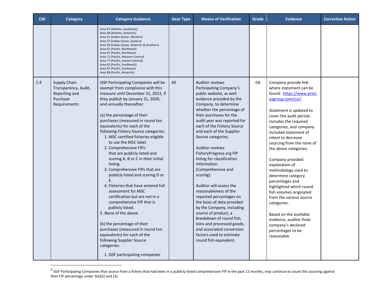| <b>CM</b> | Category                                                                          | <b>Category Guidance</b>                                                                                                                                                                                                                                                                                                                                                                                                                                                                                                                                                                                                                                                                                                                                                                                                                                                                                                                                          | <b>Gear Type</b> | <b>Means of Verification</b>                                                                                                                                                                                                                                                                                                                                                                                                                                                                                                                                                                                                                                                                                                                                 | Grade | <b>Evidence</b>                                                                                                                                                                                                                                                                                                                                                                                                                                                                                                                                                                                                                    | <b>Corrective Action</b> |
|-----------|-----------------------------------------------------------------------------------|-------------------------------------------------------------------------------------------------------------------------------------------------------------------------------------------------------------------------------------------------------------------------------------------------------------------------------------------------------------------------------------------------------------------------------------------------------------------------------------------------------------------------------------------------------------------------------------------------------------------------------------------------------------------------------------------------------------------------------------------------------------------------------------------------------------------------------------------------------------------------------------------------------------------------------------------------------------------|------------------|--------------------------------------------------------------------------------------------------------------------------------------------------------------------------------------------------------------------------------------------------------------------------------------------------------------------------------------------------------------------------------------------------------------------------------------------------------------------------------------------------------------------------------------------------------------------------------------------------------------------------------------------------------------------------------------------------------------------------------------------------------------|-------|------------------------------------------------------------------------------------------------------------------------------------------------------------------------------------------------------------------------------------------------------------------------------------------------------------------------------------------------------------------------------------------------------------------------------------------------------------------------------------------------------------------------------------------------------------------------------------------------------------------------------------|--------------------------|
|           |                                                                                   | Area 47 (Atlantic, Southeast)<br>Area 48 (Atlantic, Antarctic)<br>Area 51 (Indian Ocean, Western)<br>Area 57 (Indian Ocean, Eastern)<br>Area 58 (Indian Ocean, Antarctic & Southern)<br>Area 61 (Pacific, Northwest)<br>Area 67 (Pacific, Northeast)<br>Area 71 (Pacific, Western Central)<br>Area 77 (Pacific, Eastern Central)<br>Area 81 (Pacific, Southwest)<br>Area 87 (Pacific, Southeast)<br>Area 88 (Pacific, Antarctic)                                                                                                                                                                                                                                                                                                                                                                                                                                                                                                                                  |                  |                                                                                                                                                                                                                                                                                                                                                                                                                                                                                                                                                                                                                                                                                                                                                              |       |                                                                                                                                                                                                                                                                                                                                                                                                                                                                                                                                                                                                                                    |                          |
| 2.4       | Supply Chain<br>Transparency, Audit,<br>Reporting and<br>Purchase<br>Requirements | <b>ISSF Participating Companies will be</b><br>exempt from compliance with this<br>measure until December 31, 2022, if<br>they publish by January 31, 2020,<br>and annually thereafter:<br>(a) the percentage of their<br>purchases (measured in round ton<br>equivalents) for each of the<br>following Fishery Source categories:<br>1. MSC-certified fisheries eligible<br>to use the MSC label.<br>2. Comprehensive FIPs <sup>2</sup><br>that are publicly listed and<br>scoring A, B or C in their initial<br>listing.<br>3. Comprehensive FIPs that are<br>publicly listed and scoring D or<br>E.<br>4. Fisheries that have entered full<br>assessment for MSC<br>certification but are not in a<br>comprehensive FIP that is<br>publicly listed.<br>5. None of the above.<br>(b) the percentage of their<br>purchases (measured in round ton<br>equivalents) for each of the<br>following Supplier Source<br>categories:<br>1. ISSF participating companies | All              | <b>Auditor reviews</b><br>Participating Company's<br>public website, as well<br>evidence provided by the<br>Company, to determine<br>whether the percentage of<br>their purchases for the<br>audit year was reported for<br>each of the Fishery Source<br>and each of the Supplier<br>Source categories.<br><b>Auditor reviews</b><br>FisheryProgress.org FIP<br>listing for classification<br>information<br>(Comprehensive and<br>scoring).<br>Auditor will assess the<br>reasonableness of the<br>reported percentages on<br>the basis of data provided<br>by the Company, including<br>source of product, a<br>breakdown of round fish,<br>loins and processed goods,<br>and associated conversion<br>factors used to estimate<br>round fish equivalent. | Ok    | Company provide link<br>where statement can be<br>found: https://www.princ<br>esgroup.com/csr/<br>Statement is updated to<br>cover the audit period,<br>includes the required<br>categories, and company<br>included statement of<br>intent to decrease<br>sourcing from the none of<br>the above categories.<br>Company provided<br>explanation of<br>methodology used to<br>determine category<br>percentages and<br>highlighted which round<br>fish volumes originated<br>from the various source<br>categories.<br>Based on the available<br>evidence, auditor finds<br>company's declared<br>percentages to be<br>reasonable. |                          |

 $^2$  ISSF Participating Companies that source from a fishery that had been in a publicly listed comprehensive FIP in the past 12 months, may continue to count this sourcing against their FIP percentage under 3(a)(2) and (3).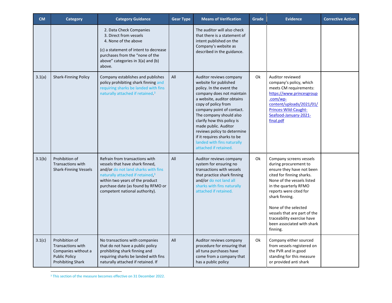| <b>CM</b> | <b>Category</b>                                                                                                | <b>Category Guidance</b>                                                                                                                                                                                                                                            | <b>Gear Type</b> | <b>Means of Verification</b>                                                                                                                                                                                                                                                                                                                                                                      | Grade | <b>Evidence</b>                                                                                                                                                                                                                                                                                                                               | <b>Corrective Action</b> |
|-----------|----------------------------------------------------------------------------------------------------------------|---------------------------------------------------------------------------------------------------------------------------------------------------------------------------------------------------------------------------------------------------------------------|------------------|---------------------------------------------------------------------------------------------------------------------------------------------------------------------------------------------------------------------------------------------------------------------------------------------------------------------------------------------------------------------------------------------------|-------|-----------------------------------------------------------------------------------------------------------------------------------------------------------------------------------------------------------------------------------------------------------------------------------------------------------------------------------------------|--------------------------|
|           |                                                                                                                | 2. Data Check Companies<br>3. Direct from vessels<br>4. None of the above<br>(c) a statement of intent to decrease<br>purchases from the "none of the<br>above" categories in 3(a) and (b)<br>above.                                                                |                  | The auditor will also check<br>that there is a statement of<br>intent published on the<br>Company's website as<br>described in the guidance.                                                                                                                                                                                                                                                      |       |                                                                                                                                                                                                                                                                                                                                               |                          |
| 3.1(a)    | <b>Shark-Finning Policy</b>                                                                                    | Company establishes and publishes<br>policy prohibiting shark finning and<br>requiring sharks be landed with fins<br>naturally attached if retained. <sup>3</sup>                                                                                                   | All              | Auditor reviews company<br>website for published<br>policy. In the event the<br>company does not maintain<br>a website, auditor obtains<br>copy of policy from<br>company point of contact.<br>The company should also<br>clarify how this policy is<br>made public. Auditor<br>reviews policy to determine<br>if it requires sharks to be<br>landed with fins naturally<br>attached if retained. | 0k    | Auditor reviewed<br>company's policy, which<br>meets CM requirements:<br>https://www.princesgroup<br>.com/wp-<br>content/uploads/2021/01/<br>Princes-Wild-Caught-<br>Seafood-January-2021-<br>final.pdf                                                                                                                                       |                          |
| 3.1(b)    | Prohibition of<br><b>Transactions with</b><br><b>Shark-Finning Vessels</b>                                     | Refrain from transactions with<br>vessels that have shark finned,<br>and/or do not land sharks with fins<br>naturally attached if retained, <sup>3</sup><br>within two years of the product<br>purchase date (as found by RFMO or<br>competent national authority). | All              | Auditor reviews company<br>system for ensuring no<br>transactions with vessels<br>that practice shark finning<br>and/or do not land all<br>sharks with fins naturally<br>attached if retained.                                                                                                                                                                                                    | Ok    | Company screens vessels<br>during procurement to<br>ensure they have not been<br>cited for finning sharks.<br>None of the vessels listed<br>in the quarterly RFMO<br>reports were cited for<br>shark finning.<br>None of the selected<br>vessels that are part of the<br>traceability exercise have<br>been associated with shark<br>finning. |                          |
| 3.1(c)    | Prohibition of<br>Transactions with<br>Companies without a<br><b>Public Policy</b><br><b>Prohibiting Shark</b> | No transactions with companies<br>that do not have a public policy<br>prohibiting shark finning and<br>requiring sharks be landed with fins<br>naturally attached if retained. If                                                                                   | All              | Auditor reviews company<br>procedure for ensuring that<br>all tuna purchases have<br>come from a company that<br>has a public policy                                                                                                                                                                                                                                                              | Ok    | Company either sourced<br>from vessels registered on<br>the PVR and in good<br>standing for this measure<br>or provided anti shark                                                                                                                                                                                                            |                          |

<sup>&</sup>lt;sup>3</sup> This section of the measure becomes effective on 31 December 2022.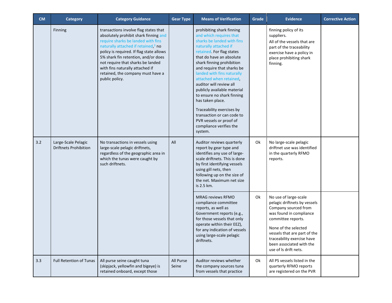| <b>CM</b> | <b>Category</b>                                     | <b>Category Guidance</b>                                                                                                                                                                                                                                                                                                                                                                  | <b>Gear Type</b>   | <b>Means of Verification</b>                                                                                                                                                                                                                                                                                                                                                                                                                                                                                                     | Grade | <b>Evidence</b>                                                                                                                                                                                                                                                           | <b>Corrective Action</b> |
|-----------|-----------------------------------------------------|-------------------------------------------------------------------------------------------------------------------------------------------------------------------------------------------------------------------------------------------------------------------------------------------------------------------------------------------------------------------------------------------|--------------------|----------------------------------------------------------------------------------------------------------------------------------------------------------------------------------------------------------------------------------------------------------------------------------------------------------------------------------------------------------------------------------------------------------------------------------------------------------------------------------------------------------------------------------|-------|---------------------------------------------------------------------------------------------------------------------------------------------------------------------------------------------------------------------------------------------------------------------------|--------------------------|
|           | Finning                                             | transactions involve flag states that<br>absolutely prohibit shark finning and<br>require sharks be landed with fins<br>naturally attached if retained, <sup>3</sup> no<br>policy is required. If flag state allows<br>5% shark fin retention, and/or does<br>not require that sharks be landed<br>with fins naturally attached if<br>retained, the company must have a<br>public policy. |                    | prohibiting shark finning<br>and which requires that<br>sharks be landed with fins<br>naturally attached if<br>retained. For flag states<br>that do have an absolute<br>shark finning prohibition<br>and require that sharks be<br>landed with fins naturally<br>attached when retained,<br>auditor will review all<br>publicly available material<br>to ensure no shark finning<br>has taken place.<br>Traceability exercises by<br>transaction or can code to<br>PVR vessels or proof of<br>compliance verifies the<br>system. |       | finning policy of its<br>suppliers.<br>All of the vessels that are<br>part of the traceability<br>exercise have a policy in<br>place prohibiting shark<br>finning.                                                                                                        |                          |
| 3.2       | Large-Scale Pelagic<br><b>Driftnets Prohibition</b> | No transactions in vessels using<br>large-scale pelagic driftnets,<br>regardless of the geographic area in<br>which the tunas were caught by<br>such driftnets.                                                                                                                                                                                                                           | All                | Auditor reviews quarterly<br>report by gear type and<br>identifies any use of large-<br>scale driftnets. This is done<br>by first identifying vessels<br>using gill nets, then<br>following up on the size of<br>the net. Maximum net size<br>is 2.5 km.                                                                                                                                                                                                                                                                         | Ok    | No large-scale pelagic<br>driftnet use was identified<br>in the quarterly RFMO<br>reports.                                                                                                                                                                                |                          |
|           |                                                     |                                                                                                                                                                                                                                                                                                                                                                                           |                    | <b>MRAG reviews RFMO</b><br>compliance committee<br>reports, as well as<br>Government reports (e.g.,<br>for those vessels that only<br>operate within their EEZ),<br>for any indication of vessels<br>using large-scale pelagic<br>driftnets.                                                                                                                                                                                                                                                                                    | Ok    | No use of large-scale<br>pelagic driftnets by vessels<br>Company sourced from<br>was found in compliance<br>committee reports.<br>None of the selected<br>vessels that are part of the<br>traceability exercise have<br>been associated with the<br>use of Is drift nets. |                          |
| 3.3       | Full Retention of Tunas                             | All purse seine caught tuna<br>(skipjack, yellowfin and bigeye) is<br>retained onboard, except those                                                                                                                                                                                                                                                                                      | All Purse<br>Seine | Auditor reviews whether<br>the company sources tuna<br>from vessels that practice                                                                                                                                                                                                                                                                                                                                                                                                                                                | Ok    | All PS vessels listed in the<br>quarterly RFMO reports<br>are registered on the PVR                                                                                                                                                                                       |                          |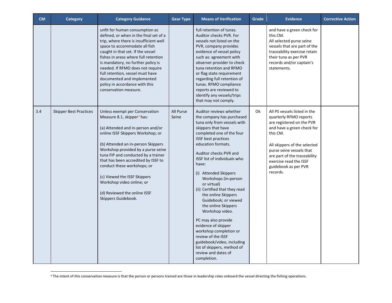| <b>CM</b> | <b>Category</b>               | <b>Category Guidance</b>                                                                                                                                                                                                                                                                                                                                                                                                                                        | <b>Gear Type</b>   | <b>Means of Verification</b>                                                                                                                                                                                                                                                                                                                                                                                                                                                                                                                                                                                                                                    | Grade | <b>Evidence</b>                                                                                                                                                                                                                                                                         | <b>Corrective Action</b> |
|-----------|-------------------------------|-----------------------------------------------------------------------------------------------------------------------------------------------------------------------------------------------------------------------------------------------------------------------------------------------------------------------------------------------------------------------------------------------------------------------------------------------------------------|--------------------|-----------------------------------------------------------------------------------------------------------------------------------------------------------------------------------------------------------------------------------------------------------------------------------------------------------------------------------------------------------------------------------------------------------------------------------------------------------------------------------------------------------------------------------------------------------------------------------------------------------------------------------------------------------------|-------|-----------------------------------------------------------------------------------------------------------------------------------------------------------------------------------------------------------------------------------------------------------------------------------------|--------------------------|
|           |                               | unfit for human consumption as<br>defined, or when in the final set of a<br>trip, where there is insufficient well<br>space to accommodate all fish<br>caught in that set. If the vessel<br>fishes in areas where full retention<br>is mandatory, no further policy is<br>needed. If RFMO does not require<br>full retention, vessel must have<br>documented and implemented<br>policy in accordance with this<br>conservation measure.                         |                    | full retention of tunas.<br>Auditor checks PVR. For<br>vessels not listed on the<br>PVR, company provides<br>evidence of vessel policy<br>such as: agreement with<br>observer provider to check<br>tuna retention and RFMO<br>or flag state requirement<br>regarding full retention of<br>tunas. RFMO compliance<br>reports are reviewed to<br>identify any vessels/trips<br>that may not comply.                                                                                                                                                                                                                                                               |       | and have a green check for<br>this CM.<br>All selected purse seine<br>vessels that are part of the<br>traceability exercise retain<br>their tuna as per PVR<br>records and/or captain's<br>statements.                                                                                  |                          |
| 3.4       | <b>Skipper Best Practices</b> | Unless exempt per Conservation<br>Measure 8.1, skipper <sup>4</sup> has:<br>(a) Attended and in-person and/or<br>online ISSF Skippers Workshop; or<br>(b) Attended an in-person Skippers<br>Workshop provided by a purse seine<br>tuna FIP and conducted by a trainer<br>that has been accredited by ISSF to<br>conduct these workshops; or<br>(c) Viewed the ISSF Skippers<br>Workshop video online; or<br>(d) Reviewed the online ISSF<br>Skippers Guidebook. | All Purse<br>Seine | Auditor reviews whether<br>the company has purchased<br>tuna only from vessels with<br>skippers that have<br>completed one of the four<br><b>ISSF</b> best practices<br>education formats.<br>Auditor checks PVR and<br><b>ISSF list of individuals who</b><br>have:<br>(i) Attended Skippers<br>Workshops (in-person<br>or virtual)<br>(ii) Certified that they read<br>the online Skippers<br>Guidebook; or viewed<br>the online Skippers<br>Workshop video.<br>PC may also provide<br>evidence of skipper<br>workshop completion or<br>review of the ISSF<br>guidebook/video, including<br>list of skippers, method of<br>review and dates of<br>completion. | Ok    | All PS vessels listed in the<br>quarterly RFMO reports<br>are registered on the PVR<br>and have a green check for<br>this CM.<br>All skippers of the selected<br>purse seine vessels that<br>are part of the traceability<br>exercise read the ISSF<br>guidebook as per PVR<br>records. |                          |

<sup>&</sup>lt;sup>4</sup> The intent of this conservation measure is that the person or persons trained are those in leadership roles onboard the vessel directing the fishing operations.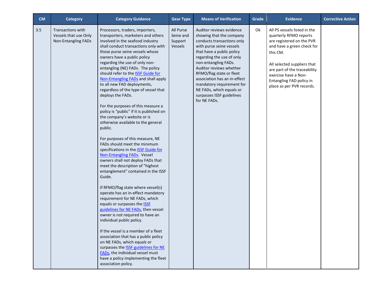| ${\sf CM}$ | <b>Category</b>                                                                 | <b>Category Guidance</b>                                                                                                                                                                                                                                                                                                                                                                                                                                                                                                                                                                                                                                                                                                                                                                                                                                                                                                                                                                                                                                                                                                                                                                                                                                                                                                                                                                                                                                | <b>Gear Type</b>                                    | <b>Means of Verification</b>                                                                                                                                                                                                                                                                                                                                                                  | Grade | <b>Evidence</b>                                                                                                                                                                                                                                                               | <b>Corrective Action</b> |
|------------|---------------------------------------------------------------------------------|---------------------------------------------------------------------------------------------------------------------------------------------------------------------------------------------------------------------------------------------------------------------------------------------------------------------------------------------------------------------------------------------------------------------------------------------------------------------------------------------------------------------------------------------------------------------------------------------------------------------------------------------------------------------------------------------------------------------------------------------------------------------------------------------------------------------------------------------------------------------------------------------------------------------------------------------------------------------------------------------------------------------------------------------------------------------------------------------------------------------------------------------------------------------------------------------------------------------------------------------------------------------------------------------------------------------------------------------------------------------------------------------------------------------------------------------------------|-----------------------------------------------------|-----------------------------------------------------------------------------------------------------------------------------------------------------------------------------------------------------------------------------------------------------------------------------------------------------------------------------------------------------------------------------------------------|-------|-------------------------------------------------------------------------------------------------------------------------------------------------------------------------------------------------------------------------------------------------------------------------------|--------------------------|
| 3.5        | <b>Transactions with</b><br>Vessels that use Only<br><b>Non-Entangling FADs</b> | Processors, traders, importers,<br>transporters, marketers and others<br>involved in the seafood industry<br>shall conduct transactions only with<br>those purse seine vessels whose<br>owners have a public policy<br>regarding the use of only non-<br>entangling (NE) FADs. The policy<br>should refer to the <b>ISSF Guide for</b><br>Non-Entangling FADs and shall apply<br>to all new FAD deployments,<br>regardless of the type of vessel that<br>deploys the FADs.<br>For the purposes of this measure a<br>policy is "public" if it is published on<br>the company's website or is<br>otherwise available to the general<br>public.<br>For purposes of this measure, NE<br>FADs should meet the minimum<br>specifications in the <b>ISSF Guide for</b><br>Non-Entangling FADs. Vessel<br>owners shall not deploy FADs that<br>meet the description of "highest"<br>entanglement" contained in the ISSF<br>Guide.<br>If RFMO/flag state where vessel(s)<br>operate has an in-effect mandatory<br>requirement for NE FADs, which<br>equals or surpasses the <b>ISSE</b><br>guidelines for NE FADs, then vessel<br>owner is not required to have an<br>individual public policy.<br>If the vessel is a member of a fleet<br>association that has a public policy<br>on NE FADs, which equals or<br>surpasses the <b>ISSF</b> guidelines for NE<br>FADs, the individual vessel must<br>have a policy implementing the fleet<br>association policy. | All Purse<br>Seine and<br>Support<br><b>Vessels</b> | Auditor reviews evidence<br>showing that the company<br>conducts transactions only<br>with purse seine vessels<br>that have a public policy<br>regarding the use of only<br>non-entangling FADs.<br>Auditor reviews whether<br>RFMO/flag state or fleet<br>association has an in-effect<br>mandatory requirement for<br>NE FADs, which equals or<br>surpasses ISSF guidelines<br>for NE FADs. | Ok    | All PS vessels listed in the<br>quarterly RFMO reports<br>are registered on the PVR<br>and have a green check for<br>this CM.<br>All selected suppliers that<br>are part of the traceability<br>exercise have a Non-<br>Entangling FAD policy in<br>place as per PVR records. |                          |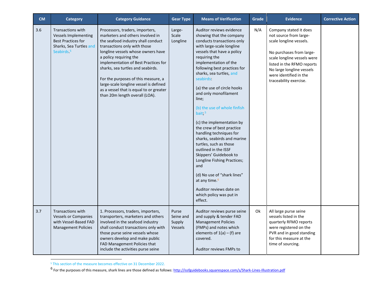| CM  | <b>Category</b>                                                                                                                          | <b>Category Guidance</b>                                                                                                                                                                                                                                                                                                                                                                                                                             | <b>Gear Type</b>                        | <b>Means of Verification</b>                                                                                                                                                                                                                                                                                                                                                                                                                                                                                                                                                                                                                                                                                                                    | Grade | <b>Evidence</b>                                                                                                                                                                                                                                       | <b>Corrective Action</b> |
|-----|------------------------------------------------------------------------------------------------------------------------------------------|------------------------------------------------------------------------------------------------------------------------------------------------------------------------------------------------------------------------------------------------------------------------------------------------------------------------------------------------------------------------------------------------------------------------------------------------------|-----------------------------------------|-------------------------------------------------------------------------------------------------------------------------------------------------------------------------------------------------------------------------------------------------------------------------------------------------------------------------------------------------------------------------------------------------------------------------------------------------------------------------------------------------------------------------------------------------------------------------------------------------------------------------------------------------------------------------------------------------------------------------------------------------|-------|-------------------------------------------------------------------------------------------------------------------------------------------------------------------------------------------------------------------------------------------------------|--------------------------|
| 3.6 | <b>Transactions with</b><br><b>Vessels Implementing</b><br><b>Best Practices for</b><br>Sharks, Sea Turtles and<br>Seabirds <sup>5</sup> | Processors, traders, importers,<br>marketers and others involved in<br>the seafood industry shall conduct<br>transactions only with those<br>longline vessels whose owners have<br>a policy requiring the<br>implementation of Best Practices for<br>sharks, sea turtles and seabirds.<br>For the purposes of this measure, a<br>large-scale longline vessel is defined<br>as a vessel that is equal to or greater<br>than 20m length overall (LOA). | Large-<br>Scale<br>Longline             | Auditor reviews evidence<br>showing that the company<br>conducts transactions only<br>with large-scale longline<br>vessels that have a policy<br>requiring the<br>implementation of the<br>following best practices for<br>sharks, sea turtles, and<br>seabirds:<br>(a) the use of circle hooks<br>and only monofilament<br>line;<br>(b) the use of whole finfish<br>bait: 5<br>(c) the implementation by<br>the crew of best practice<br>handling techniques for<br>sharks, seabirds and marine<br>turtles, such as those<br>outlined in the ISSF<br>Skippers' Guidebook to<br>Longline Fishing Practices;<br>and<br>(d) No use of "shark lines"<br>at any time. <sup>6</sup><br>Auditor reviews date on<br>which policy was put in<br>effect. | N/A   | Company stated it does<br>not source from large-<br>scale longline vessels.<br>No purchases from large-<br>scale longline vessels were<br>listed in the RFMO reports<br>No large longline vessels<br>were identified in the<br>traceability exercise. |                          |
| 3.7 | <b>Transactions with</b><br><b>Vessels or Companies</b><br>with Vessel-Based FAD<br><b>Management Policies</b>                           | 1. Processors, traders, importers,<br>transporters, marketers and others<br>involved in the seafood industry<br>shall conduct transactions only with<br>those purse seine vessels whose<br>owners develop and make public<br>FAD Management Policies that<br>include the activities purse seine                                                                                                                                                      | Purse<br>Seine and<br>Supply<br>Vessels | Auditor reviews purse seine<br>and supply & tender FAD<br><b>Management Policies</b><br>(FMPs) and notes which<br>elements of $1(a) - (f)$ are<br>covered.<br>Auditor reviews FMPs to                                                                                                                                                                                                                                                                                                                                                                                                                                                                                                                                                           | Ok    | All large purse seine<br>vessels listed in the<br>quarterly RFMO reports<br>were registered on the<br>PVR and in good standing<br>for this measure at the<br>time of sourcing.                                                                        |                          |

<sup>&</sup>lt;sup>5</sup> This section of the measure becomes effective on 31 December 2022.<br><sup>6</sup> For the purposes of this measure, shark lines are those defined as follows: <u>http://issfguidebooks.squarespace.com/s/Shark-Lines-Illustration.pdf</u>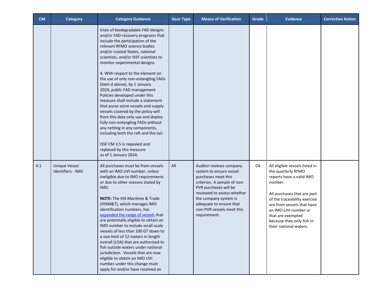| <b>CM</b> | <b>Category</b>                           | <b>Category Guidance</b>                                                                                                                                                                                                                                                                                                                                                                                                                                                                                                                                                                                                                                                                                                                                                                          | <b>Gear Type</b> | <b>Means of Verification</b>                                                                                                                                                                                                                                     | Grade | <b>Evidence</b>                                                                                                                                                                                                                                                                              | <b>Corrective Action</b> |
|-----------|-------------------------------------------|---------------------------------------------------------------------------------------------------------------------------------------------------------------------------------------------------------------------------------------------------------------------------------------------------------------------------------------------------------------------------------------------------------------------------------------------------------------------------------------------------------------------------------------------------------------------------------------------------------------------------------------------------------------------------------------------------------------------------------------------------------------------------------------------------|------------------|------------------------------------------------------------------------------------------------------------------------------------------------------------------------------------------------------------------------------------------------------------------|-------|----------------------------------------------------------------------------------------------------------------------------------------------------------------------------------------------------------------------------------------------------------------------------------------------|--------------------------|
|           |                                           | trials of biodegradable FAD designs<br>and/or FAD recovery programs that<br>include the participation of the<br>relevant RFMO science bodies<br>and/or coastal States, national<br>scientists, and/or ISSF scientists to<br>monitor experimental designs.<br>4. With respect to the element on<br>the use of only non-entangling FADs<br>(item d above), by 1 January<br>2024, public FAD management<br>Policies developed under this<br>measure shall include a statement<br>that purse seine vessels and supply<br>vessels covered by the policy will<br>from this date only use and deploy<br>fully non-entangling FADs without<br>any netting in any components,<br>including both the raft and the tail.<br>ISSF CM 3.5 is repealed and<br>replaced by this measure<br>as of 1 January 2024. |                  |                                                                                                                                                                                                                                                                  |       |                                                                                                                                                                                                                                                                                              |                          |
| 4.1       | <b>Unique Vessel</b><br>Identifiers - IMO | All purchases must be from vessels<br>with an IMO UVI number, unless<br>ineligible due to IMO requirements<br>or due to other reasons stated by<br>IMO.<br><b>NOTE:</b> The IHS Maritime & Trade<br>(IHSM&T), which manages IMO<br>identification numbers, has<br>expanded the range of vessels that<br>are potentially eligible to obtain an<br>IMO number to include small-scale<br>vessels of less than 100 GT down to<br>a size limit of 12 meters in length<br>overall (LOA) that are authorized to<br>fish outside waters under national<br>jurisdiction. Vessels that are now<br>eligible to obtain an IMO UVI<br>number under this change must<br>apply for and/or have received an                                                                                                       | All              | Auditor reviews company<br>system to ensure vessel<br>purchases meet this<br>criterion. A sample of non-<br>PVR purchases will be<br>reviewed to assess whether<br>the company system is<br>adequate to ensure that<br>non-PVR vessels meet this<br>requirement. | 0k    | All eligible vessels listed in<br>the quarterly RFMO<br>reports have a valid IMO<br>number.<br>All purchases that are part<br>of the traceability exercise<br>are from vessels that have<br>an IMO-UVI number or<br>that are exempted<br>because they only fish in<br>their national waters. |                          |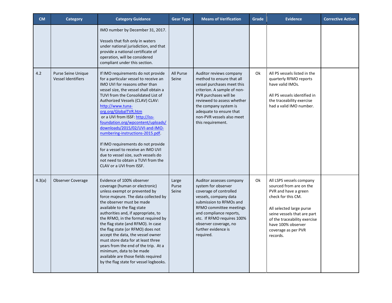| <b>CM</b> | <b>Category</b>                                 | <b>Category Guidance</b>                                                                                                                                                                                                                                                                                                                                                                                                                                                                                                                                                                                         | <b>Gear Type</b>        | <b>Means of Verification</b>                                                                                                                                                                                                                                                   | Grade | <b>Evidence</b>                                                                                                                                                                                                                                       | <b>Corrective Action</b> |
|-----------|-------------------------------------------------|------------------------------------------------------------------------------------------------------------------------------------------------------------------------------------------------------------------------------------------------------------------------------------------------------------------------------------------------------------------------------------------------------------------------------------------------------------------------------------------------------------------------------------------------------------------------------------------------------------------|-------------------------|--------------------------------------------------------------------------------------------------------------------------------------------------------------------------------------------------------------------------------------------------------------------------------|-------|-------------------------------------------------------------------------------------------------------------------------------------------------------------------------------------------------------------------------------------------------------|--------------------------|
|           |                                                 | IMO number by December 31, 2017.<br>Vessels that fish only in waters<br>under national jurisdiction, and that<br>provide a national certificate of<br>operation, will be considered<br>compliant under this section.                                                                                                                                                                                                                                                                                                                                                                                             |                         |                                                                                                                                                                                                                                                                                |       |                                                                                                                                                                                                                                                       |                          |
| 4.2       | Purse Seine Unique<br><b>Vessel Identifiers</b> | If IMO requirements do not provide<br>for a particular vessel to receive an<br>IMO UVI for reasons other than<br>vessel size, the vessel shall obtain a<br>TUVI from the Consolidated List of<br>Authorized Vessels (CLAV) CLAV:<br>http://www.tuna-<br>org.org/GlobalTVR.htm<br>or a UVI from ISSF: http://iss-<br>foundation.org/wpcontent/uploads/<br>downloads/2015/02/UVI-and-IMO-<br>numbering-instructions-2015.pdf.<br>If IMO requirements do not provide<br>for a vessel to receive an IMO UVI<br>due to vessel size, such vessels do<br>not need to obtain a TUVI from the<br>CLAV or a UVI from ISSF. | All Purse<br>Seine      | Auditor reviews company<br>method to ensure that all<br>vessel purchases meet this<br>criterion. A sample of non-<br>PVR purchases will be<br>reviewed to assess whether<br>the company system is<br>adequate to ensure that<br>non-PVR vessels also meet<br>this requirement. | 0k    | All PS vessels listed in the<br>quarterly RFMO reports<br>have valid IMOs.<br>All PS vessels identified in<br>the traceability exercise<br>had a valid IMO number.                                                                                    |                          |
| 4.3(a)    | Observer Coverage                               | Evidence of 100% observer<br>coverage (human or electronic)<br>unless exempt or prevented by<br>force majeure. The data collected by<br>the observer must be made<br>available to the flag state<br>authorities and, if appropriate, to<br>the RFMO, in the format required by<br>the flag state (and RFMO). In case<br>the flag state (or RFMO) does not<br>accept the data, the vessel owner<br>must store data for at least three<br>years from the end of the trip. At a<br>minimum, data to be made<br>available are those fields required<br>by the flag state for vessel logbooks.                        | Large<br>Purse<br>Seine | Auditor assesses company<br>system for observer<br>coverage of controlled<br>vessels, company data<br>submission to RFMOs and<br>RFMO committee meetings<br>and compliance reports,<br>etc. If RFMO requires 100%<br>observer coverage, no<br>further evidence is<br>required. | 0k    | All LSPS vessels company<br>sourced from are on the<br>PVR and have a green<br>check for this CM.<br>All selected large purse<br>seine vessels that are part<br>of the traceability exercise<br>have 100% observer<br>coverage as per PVR<br>records. |                          |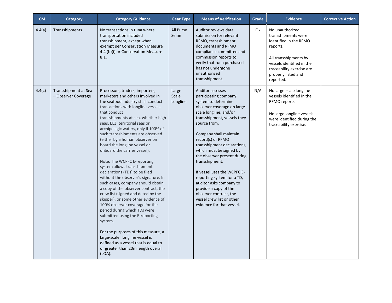| CM     | <b>Category</b>                             | <b>Category Guidance</b>                                                                                                                                                                                                                                                                                                                                                                                                                                                                                                                                                                                                                                                                                                                                                                                                                                                                                                                                                                                      | <b>Gear Type</b>            | <b>Means of Verification</b>                                                                                                                                                                                                                                                                                                                                                                                                                                                                                                                   | Grade | <b>Evidence</b>                                                                                                                                                                                     | <b>Corrective Action</b> |
|--------|---------------------------------------------|---------------------------------------------------------------------------------------------------------------------------------------------------------------------------------------------------------------------------------------------------------------------------------------------------------------------------------------------------------------------------------------------------------------------------------------------------------------------------------------------------------------------------------------------------------------------------------------------------------------------------------------------------------------------------------------------------------------------------------------------------------------------------------------------------------------------------------------------------------------------------------------------------------------------------------------------------------------------------------------------------------------|-----------------------------|------------------------------------------------------------------------------------------------------------------------------------------------------------------------------------------------------------------------------------------------------------------------------------------------------------------------------------------------------------------------------------------------------------------------------------------------------------------------------------------------------------------------------------------------|-------|-----------------------------------------------------------------------------------------------------------------------------------------------------------------------------------------------------|--------------------------|
| 4.4(a) | Transshipments                              | No transactions in tuna where<br>transportation included<br>transshipment, except when<br>exempt per Conservation Measure<br>4.4 (b)(i) or Conservation Measure<br>8.1.                                                                                                                                                                                                                                                                                                                                                                                                                                                                                                                                                                                                                                                                                                                                                                                                                                       | All Purse<br>Seine          | Auditor reviews data<br>submission for relevant<br>RFMO, transshipment<br>documents and RFMO<br>compliance committee and<br>commission reports to<br>verify that tuna purchased<br>has not undergone<br>unauthorized<br>transshipment.                                                                                                                                                                                                                                                                                                         | 0k    | No unauthorized<br>transshipments were<br>identified in the RFMO<br>reports.<br>All transshipments by<br>vessels identified in the<br>traceability exercise are<br>properly listed and<br>reported. |                          |
| 4.4(c) | Transshipment at Sea<br>- Observer Coverage | Processors, traders, importers,<br>marketers and others involved in<br>the seafood industry shall conduct<br>transactions with longline vessels<br>that conduct<br>transshipments at sea, whether high<br>seas, EEZ, territorial seas or<br>archipelagic waters, only if 100% of<br>such transshipments are observed<br>(either by a human observer on<br>board the longline vessel or<br>onboard the carrier vessel).<br>Note: The WCPFC E-reporting<br>system allows transshipment<br>declarations (TDs) to be filed<br>without the observer's signature. In<br>such cases, company should obtain<br>a copy of the observer contract, the<br>crew list (signed and dated by the<br>skipper), or some other evidence of<br>100% observer coverage for the<br>period during which TDs were<br>submitted using the E-reporting<br>system.<br>For the purposes of this measure, a<br>large-scale' longline vessel is<br>defined as a vessel that is equal to<br>or greater than 20m length overall<br>$(LOA)$ . | Large-<br>Scale<br>Longline | <b>Auditor assesses</b><br>participating company<br>system to determine<br>observer coverage on large-<br>scale longline, and/or<br>transshipment, vessels they<br>source from.<br>Company shall maintain<br>record(s) of RFMO<br>transshipment declarations,<br>which must be signed by<br>the observer present during<br>transshipment.<br>If vessel uses the WCPFC E-<br>reporting system for a TD,<br>auditor asks company to<br>provide a copy of the<br>observer contract, the<br>vessel crew list or other<br>evidence for that yessel. | N/A   | No large-scale longline<br>vessels identified in the<br>RFMO reports.<br>No large longline vessels<br>were identified during the<br>traceability exercise.                                          |                          |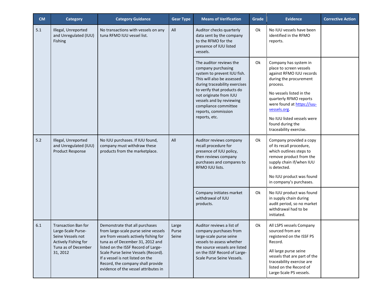| <b>CM</b> | <b>Category</b>                                                                                                                                                             | <b>Category Guidance</b>                                                                                                                                                                                                                                                                                                                           | <b>Gear Type</b>                                                                                                                                   | <b>Means of Verification</b>                                                                                                                                                                                                                                                                    | Grade                                                                                                                                                                                                        | <b>Evidence</b>                                                                                                                                                                                                                                                                                    | <b>Corrective Action</b> |
|-----------|-----------------------------------------------------------------------------------------------------------------------------------------------------------------------------|----------------------------------------------------------------------------------------------------------------------------------------------------------------------------------------------------------------------------------------------------------------------------------------------------------------------------------------------------|----------------------------------------------------------------------------------------------------------------------------------------------------|-------------------------------------------------------------------------------------------------------------------------------------------------------------------------------------------------------------------------------------------------------------------------------------------------|--------------------------------------------------------------------------------------------------------------------------------------------------------------------------------------------------------------|----------------------------------------------------------------------------------------------------------------------------------------------------------------------------------------------------------------------------------------------------------------------------------------------------|--------------------------|
| 5.1       | Illegal, Unreported<br>and Unregulated (IUU)<br>Fishing                                                                                                                     | No transactions with vessels on any<br>tuna RFMO IUU vessel list.                                                                                                                                                                                                                                                                                  | All                                                                                                                                                | Auditor checks quarterly<br>data sent by the company<br>to the RFMO for the<br>presence of IUU listed<br>vessels.                                                                                                                                                                               | Ok                                                                                                                                                                                                           | No IUU vessels have been<br>identified in the RFMO<br>reports.                                                                                                                                                                                                                                     |                          |
|           |                                                                                                                                                                             |                                                                                                                                                                                                                                                                                                                                                    |                                                                                                                                                    | The auditor reviews the<br>company purchasing<br>system to prevent IUU fish.<br>This will also be assessed<br>during traceability exercises<br>to verify that products do<br>not originate from IUU<br>vessels and by reviewing<br>compliance committee<br>reports, commission<br>reports, etc. | 0k                                                                                                                                                                                                           | Company has system in<br>place to screen vessels<br>against RFMO IUU records<br>during the procurement<br>process.<br>No vessels listed in the<br>quarterly RFMO reports<br>were found at https://iuu-<br>vessels.org.<br>No IUU listed vessels were<br>found during the<br>traceability exercise. |                          |
| 5.2       | Illegal, Unreported<br>No IUU purchases. If IUU found,<br>company must withdraw these<br>and Unregulated (IUU)<br>products from the marketplace.<br><b>Product Response</b> | All                                                                                                                                                                                                                                                                                                                                                | Auditor reviews company<br>recall procedure for<br>presence of IUU policy,<br>then reviews company<br>purchases and compares to<br>RFMO IUU lists. | Ok                                                                                                                                                                                                                                                                                              | Company provided a copy<br>of its recall procedure,<br>which outlines steps to<br>remove product from the<br>supply chain if/when IUU<br>is detected.<br>No IUU product was found<br>in company's purchases. |                                                                                                                                                                                                                                                                                                    |                          |
|           |                                                                                                                                                                             |                                                                                                                                                                                                                                                                                                                                                    |                                                                                                                                                    | Company initiates market<br>withdrawal of IUU<br>products.                                                                                                                                                                                                                                      | Ok                                                                                                                                                                                                           | No IUU product was found<br>in supply chain during<br>audit period, so no market<br>withdrawal had to be<br>initiated.                                                                                                                                                                             |                          |
| 6.1       | <b>Transaction Ban for</b><br>Large-Scale Purse-<br>Seine Vessels not<br>Actively Fishing for<br>Tuna as of December<br>31, 2012                                            | Demonstrate that all purchases<br>from large-scale purse seine vessels<br>are from vessels actively fishing for<br>tuna as of December 31, 2012 and<br>listed on the ISSF Record of Large-<br>Scale Purse Seine Vessels (Record).<br>If a vessel is not listed on the<br>Record, the company shall provide<br>evidence of the vessel attributes in | Large<br>Purse<br>Seine                                                                                                                            | Auditor reviews a list of<br>company purchases from<br>large-scale purse seine<br>vessels to assess whether<br>the source vessels are listed<br>on the ISSF Record of Large-<br>Scale Purse Seine Vessels.                                                                                      | Ok                                                                                                                                                                                                           | All LSPS vessels Company<br>sourced from are<br>registered on the ISSF PS<br>Record.<br>All large purse seine<br>vessels that are part of the<br>traceability exercise are<br>listed on the Record of<br>Large-Scale PS vessels.                                                                   |                          |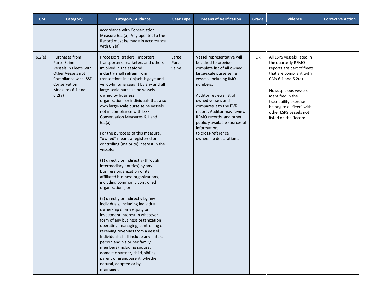| <b>CM</b> | <b>Category</b>                                                                                                                                              | <b>Category Guidance</b>                                                                                                                                                                                                                                                                                                                                                                                                                                                                                                                                                                                                                                                                                                                                                                                                                                                                                                                                                                                                                                                                                                                                                                                                                                 | <b>Gear Type</b>        | <b>Means of Verification</b>                                                                                                                                                                                                                                                                                                                                                            | Grade | <b>Evidence</b>                                                                                                                                                                                                                                                                        | <b>Corrective Action</b> |
|-----------|--------------------------------------------------------------------------------------------------------------------------------------------------------------|----------------------------------------------------------------------------------------------------------------------------------------------------------------------------------------------------------------------------------------------------------------------------------------------------------------------------------------------------------------------------------------------------------------------------------------------------------------------------------------------------------------------------------------------------------------------------------------------------------------------------------------------------------------------------------------------------------------------------------------------------------------------------------------------------------------------------------------------------------------------------------------------------------------------------------------------------------------------------------------------------------------------------------------------------------------------------------------------------------------------------------------------------------------------------------------------------------------------------------------------------------|-------------------------|-----------------------------------------------------------------------------------------------------------------------------------------------------------------------------------------------------------------------------------------------------------------------------------------------------------------------------------------------------------------------------------------|-------|----------------------------------------------------------------------------------------------------------------------------------------------------------------------------------------------------------------------------------------------------------------------------------------|--------------------------|
|           |                                                                                                                                                              | accordance with Conservation<br>Measure 6.2 (a). Any updates to the<br>Record must be made in accordance<br>with $6.2(a)$ .                                                                                                                                                                                                                                                                                                                                                                                                                                                                                                                                                                                                                                                                                                                                                                                                                                                                                                                                                                                                                                                                                                                              |                         |                                                                                                                                                                                                                                                                                                                                                                                         |       |                                                                                                                                                                                                                                                                                        |                          |
| 6.2(e)    | Purchases from<br><b>Purse Seine</b><br>Vessels in Fleets with<br>Other Vessels not in<br>Compliance with ISSF<br>Conservation<br>Measures 6.1 and<br>6.2(a) | Processors, traders, importers,<br>transporters, marketers and others<br>involved in the seafood<br>industry shall refrain from<br>transactions in skipjack, bigeye and<br>yellowfin tuna caught by any and all<br>large-scale purse seine vessels<br>owned by business<br>organizations or individuals that also<br>own large-scale purse seine vessels<br>not in compliance with ISSF<br>Conservation Measures 6.1 and<br>$6.2(a)$ .<br>For the purposes of this measure,<br>"owned" means a registered or<br>controlling (majority) interest in the<br>vessels:<br>(1) directly or indirectly (through<br>intermediary entities) by any<br>business organization or its<br>affiliated business organizations,<br>including commonly controlled<br>organizations, or<br>(2) directly or indirectly by any<br>individuals, including individual<br>ownership of any equity or<br>investment interest in whatever<br>form of any business organization<br>operating, managing, controlling or<br>receiving revenues from a vessel.<br>Individuals shall include any natural<br>person and his or her family<br>members (including spouse,<br>domestic partner, child, sibling,<br>parent or grandparent, whether<br>natural, adopted or by<br>marriage). | Large<br>Purse<br>Seine | Vessel representative will<br>be asked to provide a<br>complete list of all owned<br>large-scale purse seine<br>vessels, including IMO<br>numbers.<br>Auditor reviews list of<br>owned vessels and<br>compares it to the PVR<br>record. Auditor may review<br>RFMO records, and other<br>publicly available sources of<br>information,<br>to cross-reference<br>ownership declarations. | Ok    | All LSPS vessels listed in<br>the quarterly RFMO<br>reports are part of fleets<br>that are compliant with<br>CMs 6.1 and 6.2(a).<br>No suspicious vessels<br>identified in the<br>traceability exercise<br>belong to a "fleet" with<br>other LSPS vessels not<br>listed on the Record. |                          |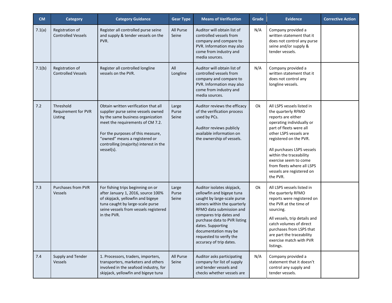| <b>CM</b> | <b>Category</b>                              | <b>Category Guidance</b>                                                                                                                                                                                                                                                          | <b>Gear Type</b>        | <b>Means of Verification</b>                                                                                                                                                                                                                                                                                     | Grade | <b>Evidence</b>                                                                                                                                                                                                                                                                                                                             | <b>Corrective Action</b> |
|-----------|----------------------------------------------|-----------------------------------------------------------------------------------------------------------------------------------------------------------------------------------------------------------------------------------------------------------------------------------|-------------------------|------------------------------------------------------------------------------------------------------------------------------------------------------------------------------------------------------------------------------------------------------------------------------------------------------------------|-------|---------------------------------------------------------------------------------------------------------------------------------------------------------------------------------------------------------------------------------------------------------------------------------------------------------------------------------------------|--------------------------|
| 7.1(a)    | Registration of<br><b>Controlled Vessels</b> | Register all controlled purse seine<br>and supply & tender vessels on the<br>PVR.                                                                                                                                                                                                 | All Purse<br>Seine      | Auditor will obtain list of<br>controlled vessels from<br>company and compare to<br>PVR. Information may also<br>come from industry and<br>media sources.                                                                                                                                                        | N/A   | Company provided a<br>written statement that it<br>does not control any purse<br>seine and/or supply &<br>tender vessels.                                                                                                                                                                                                                   |                          |
| 7.1(b)    | Registration of<br><b>Controlled Vessels</b> | Register all controlled longline<br>vessels on the PVR.                                                                                                                                                                                                                           | All<br>Longline         | Auditor will obtain list of<br>controlled vessels from<br>company and compare to<br>PVR. Information may also<br>come from industry and<br>media sources.                                                                                                                                                        | N/A   | Company provided a<br>written statement that it<br>does not control any<br>longline vessels.                                                                                                                                                                                                                                                |                          |
| 7.2       | Threshold<br>Requirement for PVR<br>Listing  | Obtain written verification that all<br>supplier purse seine vessels owned<br>by the same business organization<br>meet the requirements of CM 7.2.<br>For the purposes of this measure,<br>"owned" means a registered or<br>controlling (majority) interest in the<br>vessel(s). | Large<br>Purse<br>Seine | Auditor reviews the efficacy<br>of the verification process<br>used by PCs.<br>Auditor reviews publicly<br>available information on<br>the ownership of vessels.                                                                                                                                                 | Ok    | All LSPS vessels listed in<br>the quarterly RFMO<br>reports are either<br>operating individually or<br>part of fleets were all<br>other LSPS vessels are<br>registered on the PVR.<br>All purchases LSPS vessels<br>within the traceability<br>exercise seem to come<br>from fleets where all LSPS<br>vessels are registered on<br>the PVR. |                          |
| 7.3       | <b>Purchases from PVR</b><br><b>Vessels</b>  | For fishing trips beginning on or<br>after January 1, 2016, source 100%<br>of skipjack, yellowfin and bigeye<br>tuna caught by large-scale purse<br>seine vessels from vessels registered<br>in the PVR.                                                                          | Large<br>Purse<br>Seine | Auditor isolates skipjack,<br>yellowfin and bigeye tuna<br>caught by large-scale purse<br>seiners within the quarterly<br>RFMO data submission and<br>compares trip dates and<br>purchase data to PVR listing<br>dates. Supporting<br>documentation may be<br>requested to verify the<br>accuracy of trip dates. | Ok    | All LSPS vessels listed in<br>the quarterly RFMO<br>reports were registered on<br>the PVR at the time of<br>sourcing.<br>All vessels, trip details and<br>catch volumes of direct<br>purchases from LSPS that<br>are part the traceability<br>exercise match with PVR<br>listings.                                                          |                          |
| 7.4       | Supply and Tender<br>Vessels                 | 1. Processors, traders, importers,<br>transporters, marketers and others<br>involved in the seafood industry, for<br>skipjack, yellowfin and bigeye tuna                                                                                                                          | All Purse<br>Seine      | Auditor asks participating<br>company for list of supply<br>and tender vessels and<br>checks whether vessels are                                                                                                                                                                                                 | N/A   | Company provided a<br>statement that it doesn't<br>control any supply and<br>tender vessels.                                                                                                                                                                                                                                                |                          |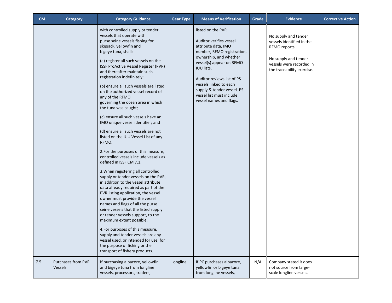| <b>CM</b> | <b>Category</b>                      | <b>Category Guidance</b>                                                                                                                                                                                                                                                                                                                                                                                                                                                                                                                                                                                                                                                                                                                                                                                                                                                                                                                                                                                                                                                                                                                                                                                                                                                                                               | <b>Gear Type</b> | <b>Means of Verification</b>                                                                                                                                                                                                                                                                                               | Grade | <b>Evidence</b>                                                                                                                                      | <b>Corrective Action</b> |
|-----------|--------------------------------------|------------------------------------------------------------------------------------------------------------------------------------------------------------------------------------------------------------------------------------------------------------------------------------------------------------------------------------------------------------------------------------------------------------------------------------------------------------------------------------------------------------------------------------------------------------------------------------------------------------------------------------------------------------------------------------------------------------------------------------------------------------------------------------------------------------------------------------------------------------------------------------------------------------------------------------------------------------------------------------------------------------------------------------------------------------------------------------------------------------------------------------------------------------------------------------------------------------------------------------------------------------------------------------------------------------------------|------------------|----------------------------------------------------------------------------------------------------------------------------------------------------------------------------------------------------------------------------------------------------------------------------------------------------------------------------|-------|------------------------------------------------------------------------------------------------------------------------------------------------------|--------------------------|
|           |                                      | with controlled supply or tender<br>vessels that operate with<br>purse seine vessels fishing for<br>skipjack, yellowfin and<br>bigeye tuna, shall:<br>(a) register all such vessels on the<br>ISSF ProActive Vessel Register (PVR)<br>and thereafter maintain such<br>registration indefinitely;<br>(b) ensure all such vessels are listed<br>on the authorized vessel record of<br>any of the RFMO<br>governing the ocean area in which<br>the tuna was caught;<br>(c) ensure all such vessels have an<br>IMO unique vessel identifier; and<br>(d) ensure all such vessels are not<br>listed on the IUU Vessel List of any<br>RFMO.<br>2.For the purposes of this measure,<br>controlled vessels include vessels as<br>defined in ISSF CM 7.1.<br>3. When registering all controlled<br>supply or tender vessels on the PVR,<br>in addition to the vessel attribute<br>data already required as part of the<br>PVR listing application, the vessel<br>owner must provide the vessel<br>names and flags of all the purse<br>seine vessels that the listed supply<br>or tender vessels support, to the<br>maximum extent possible.<br>4. For purposes of this measure,<br>supply and tender vessels are any<br>vessel used, or intended for use, for<br>the purpose of fishing or the<br>transport of fishery products. |                  | listed on the PVR.<br>Auditor verifies vessel<br>attribute data, IMO<br>number, RFMO registration,<br>ownership, and whether<br>vessel(s) appear on RFMO<br><b>IUU lists.</b><br>Auditor reviews list of PS<br>vessels linked to each<br>supply & tender vessel. PS<br>vessel list must include<br>vessel names and flags. |       | No supply and tender<br>vessels identified in the<br>RFMO reports.<br>No supply and tender<br>vessels were recorded in<br>the traceability exercise. |                          |
| 7.5       | <b>Purchases from PVR</b><br>Vessels | If purchasing albacore, yellowfin<br>and bigeye tuna from longline<br>vessels, processors, traders,                                                                                                                                                                                                                                                                                                                                                                                                                                                                                                                                                                                                                                                                                                                                                                                                                                                                                                                                                                                                                                                                                                                                                                                                                    | Longline         | If PC purchases albacore,<br>yellowfin or bigeye tuna<br>from longline vessels,                                                                                                                                                                                                                                            | N/A   | Company stated it does<br>not source from large-<br>scale longline vessels.                                                                          |                          |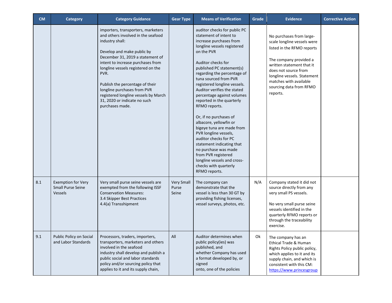| <b>CM</b> | <b>Category</b>                                                         | <b>Category Guidance</b>                                                                                                                                                                                                                                                                                                                                                                                      | <b>Gear Type</b>                    | <b>Means of Verification</b>                                                                                                                                                                                                                                                                                                                                                                                                                                                                                                                                                                                                                                                 | Grade | <b>Evidence</b>                                                                                                                                                                                                                                                      | <b>Corrective Action</b> |
|-----------|-------------------------------------------------------------------------|---------------------------------------------------------------------------------------------------------------------------------------------------------------------------------------------------------------------------------------------------------------------------------------------------------------------------------------------------------------------------------------------------------------|-------------------------------------|------------------------------------------------------------------------------------------------------------------------------------------------------------------------------------------------------------------------------------------------------------------------------------------------------------------------------------------------------------------------------------------------------------------------------------------------------------------------------------------------------------------------------------------------------------------------------------------------------------------------------------------------------------------------------|-------|----------------------------------------------------------------------------------------------------------------------------------------------------------------------------------------------------------------------------------------------------------------------|--------------------------|
|           |                                                                         | importers, transporters, marketers<br>and others involved in the seafood<br>industry shall:<br>Develop and make public by<br>December 31, 2019 a statement of<br>intent to increase purchases from<br>longline vessels registered on the<br>PVR.<br>Publish the percentage of their<br>longline purchases from PVR<br>registered longline vessels by March<br>31, 2020 or indicate no such<br>purchases made. |                                     | auditor checks for public PC<br>statement of intent to<br>increase purchases from<br>longline vessels registered<br>on the PVR<br>Auditor checks for<br>published PC statement(s)<br>regarding the percentage of<br>tuna sourced from PVR<br>registered longline vessels.<br>Auditor verifies the stated<br>percentage against volumes<br>reported in the quarterly<br>RFMO reports.<br>Or, if no purchases of<br>albacore, yellowfin or<br>bigeye tuna are made from<br>PVR longline vessels,<br>auditor checks for PC<br>statement indicating that<br>no purchase was made<br>from PVR registered<br>longline vessels and cross-<br>checks with quarterly<br>RFMO reports. |       | No purchases from large-<br>scale longline vessels were<br>listed in the RFMO reports<br>The company provided a<br>written statement that it<br>does not source from<br>longline vessels. Statement<br>matches with available<br>sourcing data from RFMO<br>reports. |                          |
| 8.1       | <b>Exemption for Very</b><br><b>Small Purse Seine</b><br><b>Vessels</b> | Very small purse seine vessels are<br>exempted from the following ISSF<br><b>Conservation Measures:</b><br>3.4 Skipper Best Practices<br>4.4(a) Transshipment                                                                                                                                                                                                                                                 | <b>Very Small</b><br>Purse<br>Seine | The company can<br>demonstrate that the<br>vessel is less than 30 GT by<br>providing fishing licenses,<br>vessel surveys, photos, etc.                                                                                                                                                                                                                                                                                                                                                                                                                                                                                                                                       | N/A   | Company stated it did not<br>source directly from any<br>very small PS vessels.<br>No very small purse seine<br>vessels identified in the<br>quarterly RFMO reports or<br>through the traceability<br>exercise.                                                      |                          |
| 9.1       | Public Policy on Social<br>and Labor Standards                          | Processors, traders, importers,<br>transporters, marketers and others<br>involved in the seafood<br>industry shall develop and publish a<br>public social and labor standards<br>policy and/or sourcing policy that<br>applies to it and its supply chain,                                                                                                                                                    | $\mathsf{All}$                      | Auditor determines when<br>public policy(ies) was<br>published, and<br>whether Company has used<br>a format developed by, or<br>signed<br>onto, one of the policies                                                                                                                                                                                                                                                                                                                                                                                                                                                                                                          | Ok    | The company has an<br>Ethical Trade & Human<br>Rights Policy public policy,<br>which applies to it and its<br>supply chain, and which is<br>consistent with this CM:<br>https://www.princesgroup                                                                     |                          |